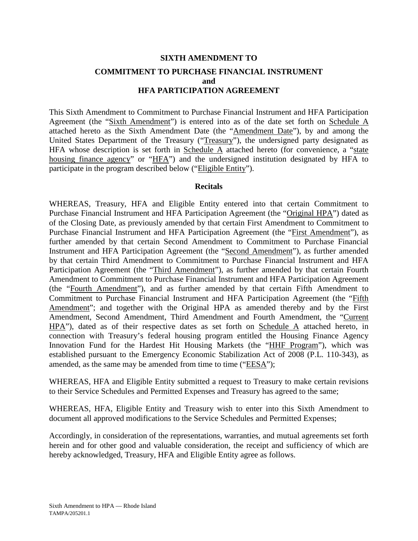# **SIXTH AMENDMENT TO COMMITMENT TO PURCHASE FINANCIAL INSTRUMENT and HFA PARTICIPATION AGREEMENT**

This Sixth Amendment to Commitment to Purchase Financial Instrument and HFA Participation Agreement (the "Sixth Amendment") is entered into as of the date set forth on Schedule A attached hereto as the Sixth Amendment Date (the "Amendment Date"), by and among the United States Department of the Treasury ("Treasury"), the undersigned party designated as HFA whose description is set forth in Schedule A attached hereto (for convenience, a "state housing finance agency" or "HFA") and the undersigned institution designated by HFA to participate in the program described below ("Eligible Entity").

### **Recitals**

WHEREAS, Treasury, HFA and Eligible Entity entered into that certain Commitment to Purchase Financial Instrument and HFA Participation Agreement (the "Original HPA") dated as of the Closing Date, as previously amended by that certain First Amendment to Commitment to Purchase Financial Instrument and HFA Participation Agreement (the "First Amendment"), as further amended by that certain Second Amendment to Commitment to Purchase Financial Instrument and HFA Participation Agreement (the "Second Amendment"), as further amended by that certain Third Amendment to Commitment to Purchase Financial Instrument and HFA Participation Agreement (the "Third Amendment"), as further amended by that certain Fourth Amendment to Commitment to Purchase Financial Instrument and HFA Participation Agreement (the "Fourth Amendment"), and as further amended by that certain Fifth Amendment to Commitment to Purchase Financial Instrument and HFA Participation Agreement (the "Fifth Amendment"; and together with the Original HPA as amended thereby and by the First Amendment, Second Amendment, Third Amendment and Fourth Amendment, the "Current HPA"), dated as of their respective dates as set forth on Schedule A attached hereto, in connection with Treasury's federal housing program entitled the Housing Finance Agency Innovation Fund for the Hardest Hit Housing Markets (the "HHF Program"), which was established pursuant to the Emergency Economic Stabilization Act of 2008 (P.L. 110-343), as amended, as the same may be amended from time to time ("EESA");

WHEREAS, HFA and Eligible Entity submitted a request to Treasury to make certain revisions to their Service Schedules and Permitted Expenses and Treasury has agreed to the same;

WHEREAS, HFA, Eligible Entity and Treasury wish to enter into this Sixth Amendment to document all approved modifications to the Service Schedules and Permitted Expenses;

Accordingly, in consideration of the representations, warranties, and mutual agreements set forth herein and for other good and valuable consideration, the receipt and sufficiency of which are hereby acknowledged, Treasury, HFA and Eligible Entity agree as follows.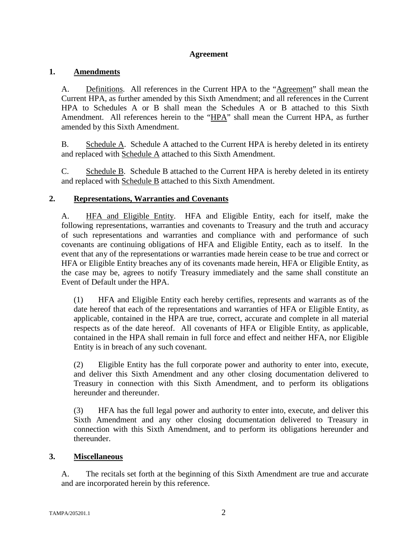# **Agreement**

# **1. Amendments**

A. Definitions. All references in the Current HPA to the "Agreement" shall mean the Current HPA, as further amended by this Sixth Amendment; and all references in the Current HPA to Schedules A or B shall mean the Schedules A or B attached to this Sixth Amendment. All references herein to the "HPA" shall mean the Current HPA, as further amended by this Sixth Amendment.

B. Schedule A. Schedule A attached to the Current HPA is hereby deleted in its entirety and replaced with Schedule A attached to this Sixth Amendment.

C. Schedule B. Schedule B attached to the Current HPA is hereby deleted in its entirety and replaced with Schedule B attached to this Sixth Amendment.

# **2. Representations, Warranties and Covenants**

A. HFA and Eligible Entity. HFA and Eligible Entity, each for itself, make the following representations, warranties and covenants to Treasury and the truth and accuracy of such representations and warranties and compliance with and performance of such covenants are continuing obligations of HFA and Eligible Entity, each as to itself. In the event that any of the representations or warranties made herein cease to be true and correct or HFA or Eligible Entity breaches any of its covenants made herein, HFA or Eligible Entity, as the case may be, agrees to notify Treasury immediately and the same shall constitute an Event of Default under the HPA.

(1) HFA and Eligible Entity each hereby certifies, represents and warrants as of the date hereof that each of the representations and warranties of HFA or Eligible Entity, as applicable, contained in the HPA are true, correct, accurate and complete in all material respects as of the date hereof. All covenants of HFA or Eligible Entity, as applicable, contained in the HPA shall remain in full force and effect and neither HFA, nor Eligible Entity is in breach of any such covenant.

(2) Eligible Entity has the full corporate power and authority to enter into, execute, and deliver this Sixth Amendment and any other closing documentation delivered to Treasury in connection with this Sixth Amendment, and to perform its obligations hereunder and thereunder.

(3) HFA has the full legal power and authority to enter into, execute, and deliver this Sixth Amendment and any other closing documentation delivered to Treasury in connection with this Sixth Amendment, and to perform its obligations hereunder and thereunder.

# **3. Miscellaneous**

A. The recitals set forth at the beginning of this Sixth Amendment are true and accurate and are incorporated herein by this reference.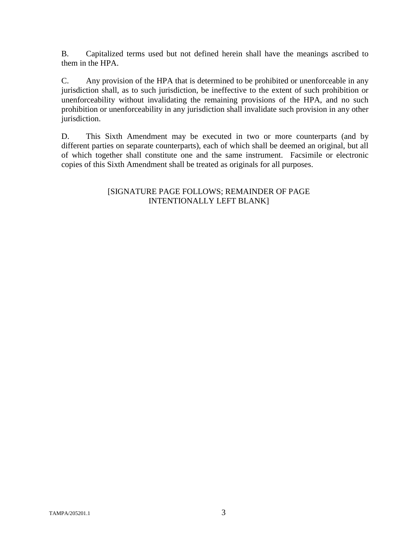B. Capitalized terms used but not defined herein shall have the meanings ascribed to them in the HPA.

C. Any provision of the HPA that is determined to be prohibited or unenforceable in any jurisdiction shall, as to such jurisdiction, be ineffective to the extent of such prohibition or unenforceability without invalidating the remaining provisions of the HPA, and no such prohibition or unenforceability in any jurisdiction shall invalidate such provision in any other jurisdiction.

D. This Sixth Amendment may be executed in two or more counterparts (and by different parties on separate counterparts), each of which shall be deemed an original, but all of which together shall constitute one and the same instrument. Facsimile or electronic copies of this Sixth Amendment shall be treated as originals for all purposes.

# [SIGNATURE PAGE FOLLOWS; REMAINDER OF PAGE INTENTIONALLY LEFT BLANK]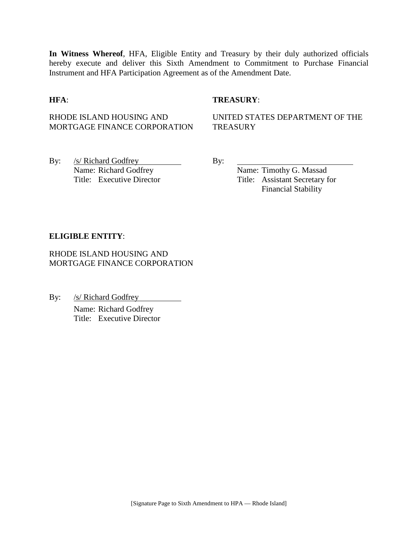**In Witness Whereof**, HFA, Eligible Entity and Treasury by their duly authorized officials hereby execute and deliver this Sixth Amendment to Commitment to Purchase Financial Instrument and HFA Participation Agreement as of the Amendment Date.

### **HFA**: **TREASURY**:

# RHODE ISLAND HOUSING AND MORTGAGE FINANCE CORPORATION

UNITED STATES DEPARTMENT OF THE **TREASURY** 

By: /s/ Richard Godfrey By: Name: Richard Godfrey Name: Timothy G. Massad

Title: Executive Director Title: Assistant Secretary for Financial Stability

#### **ELIGIBLE ENTITY**:

RHODE ISLAND HOUSING AND MORTGAGE FINANCE CORPORATION

By: /s/ Richard Godfrey Name: Richard Godfrey Title: Executive Director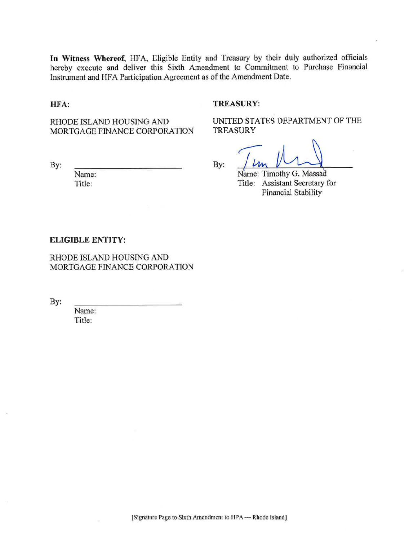In Witness Whereof, HFA, Eligible Entity and Treasury by their duly authorized officials hereby execute and deliver this Sixth Amendment to Commitment to Purchase Financial Instrument and HFA Participation Agreement as of the Amendment Date.

#### HFA:

#### **TREASURY:**

RHODE ISLAND HOUSING AND MORTGAGE FINANCE CORPORATION

By:

Name: Title:

By:

UNITED STATES DEPARTMENT OF THE **TREASURY** 

Name: Timothy G. Massad Title: Assistant Secretary for Financial Stability

#### **ELIGIBLE ENTITY:**

RHODE ISLAND HOUSING AND MORTGAGE FINANCE CORPORATION

By:

Name: Title: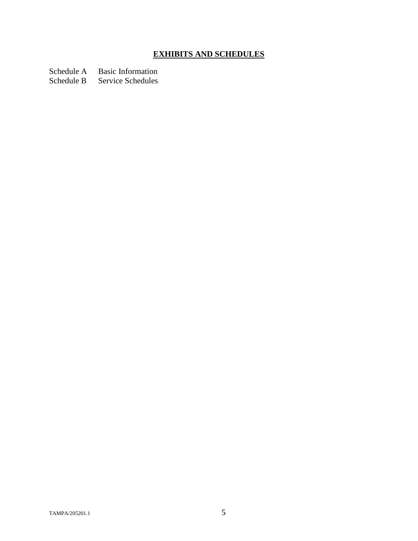# **EXHIBITS AND SCHEDULES**

Schedule A Basic Information<br>Schedule B Service Schedules

Service Schedules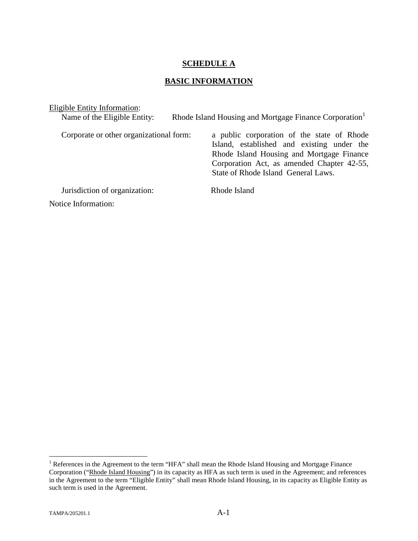### **SCHEDULE A**

# **BASIC INFORMATION**

| Eligible Entity Information:            |                                                                                                                                                                                                                            |
|-----------------------------------------|----------------------------------------------------------------------------------------------------------------------------------------------------------------------------------------------------------------------------|
| Name of the Eligible Entity:            | Rhode Island Housing and Mortgage Finance Corporation                                                                                                                                                                      |
| Corporate or other organizational form: | a public corporation of the state of Rhode<br>Island, established and existing under the<br>Rhode Island Housing and Mortgage Finance<br>Corporation Act, as amended Chapter 42-55,<br>State of Rhode Island General Laws. |
| Jurisdiction of organization:           | Rhode Island                                                                                                                                                                                                               |
| Notice Information:                     |                                                                                                                                                                                                                            |

<span id="page-6-0"></span><sup>&</sup>lt;sup>1</sup> References in the Agreement to the term "HFA" shall mean the Rhode Island Housing and Mortgage Finance Corporation ("Rhode Island Housing") in its capacity as HFA as such term is used in the Agreement; and references in the Agreement to the term "Eligible Entity" shall mean Rhode Island Housing, in its capacity as Eligible Entity as such term is used in the Agreement.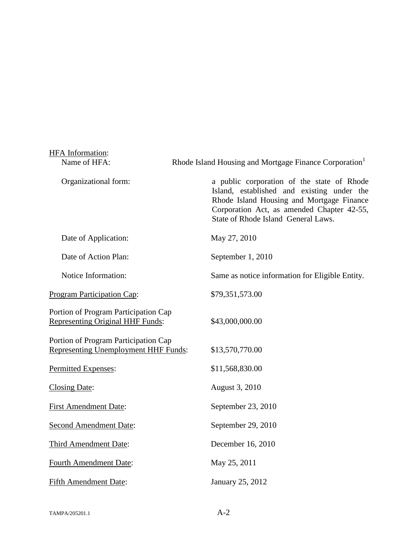| HFA Information:                                                                    |                                                                                                                                                                                                                            |
|-------------------------------------------------------------------------------------|----------------------------------------------------------------------------------------------------------------------------------------------------------------------------------------------------------------------------|
| Name of HFA:                                                                        | Rhode Island Housing and Mortgage Finance Corporation <sup>1</sup>                                                                                                                                                         |
| Organizational form:                                                                | a public corporation of the state of Rhode<br>Island, established and existing under the<br>Rhode Island Housing and Mortgage Finance<br>Corporation Act, as amended Chapter 42-55,<br>State of Rhode Island General Laws. |
| Date of Application:                                                                | May 27, 2010                                                                                                                                                                                                               |
| Date of Action Plan:                                                                | September 1, 2010                                                                                                                                                                                                          |
| Notice Information:                                                                 | Same as notice information for Eligible Entity.                                                                                                                                                                            |
| Program Participation Cap:                                                          | \$79,351,573.00                                                                                                                                                                                                            |
| Portion of Program Participation Cap<br>Representing Original HHF Funds:            | \$43,000,000.00                                                                                                                                                                                                            |
| Portion of Program Participation Cap<br><b>Representing Unemployment HHF Funds:</b> | \$13,570,770.00                                                                                                                                                                                                            |
| Permitted Expenses:                                                                 | \$11,568,830.00                                                                                                                                                                                                            |
| <b>Closing Date:</b>                                                                | August 3, 2010                                                                                                                                                                                                             |
| <b>First Amendment Date:</b>                                                        | September 23, 2010                                                                                                                                                                                                         |
| Second Amendment Date:                                                              | September 29, 2010                                                                                                                                                                                                         |
| Third Amendment Date:                                                               | December 16, 2010                                                                                                                                                                                                          |
| <b>Fourth Amendment Date:</b>                                                       | May 25, 2011                                                                                                                                                                                                               |
| <b>Fifth Amendment Date:</b>                                                        | January 25, 2012                                                                                                                                                                                                           |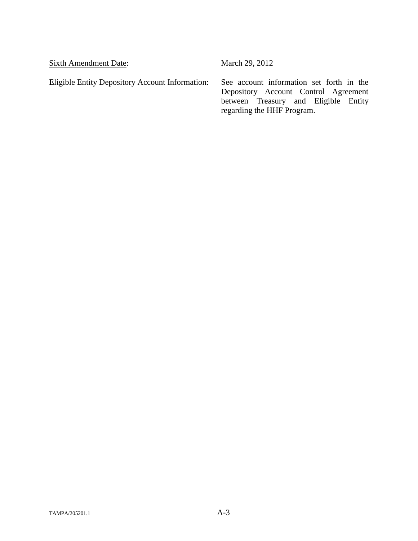Sixth Amendment Date: March 29, 2012

Eligible Entity Depository Account Information: See account information set forth in the

Depository Account Control Agreement between Treasury and Eligible Entity regarding the HHF Program.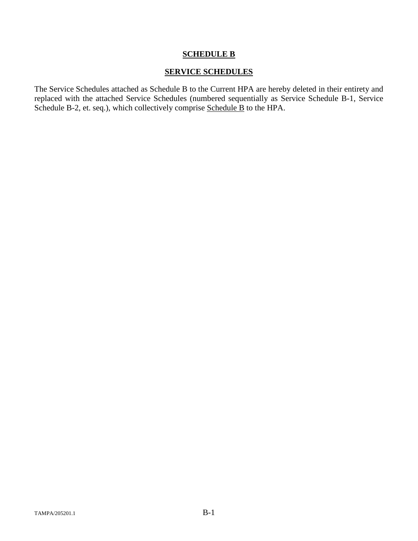## **SCHEDULE B**

### **SERVICE SCHEDULES**

The Service Schedules attached as Schedule B to the Current HPA are hereby deleted in their entirety and replaced with the attached Service Schedules (numbered sequentially as Service Schedule B-1, Service Schedule B-2, et. seq.), which collectively comprise Schedule B to the HPA.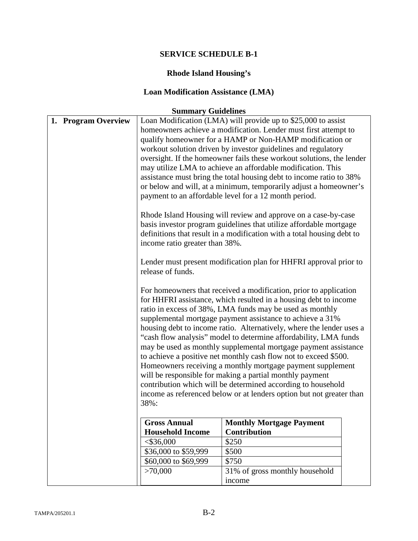# **Rhode Island Housing's**

# **Loan Modification Assistance (LMA)**

| 1. Program Overview | $5 - 1$<br>income ratio greater than 38%.<br>release of funds. | Loan Modification (LMA) will provide up to \$25,000 to assist<br>homeowners achieve a modification. Lender must first attempt to<br>qualify homeowner for a HAMP or Non-HAMP modification or<br>workout solution driven by investor guidelines and regulatory<br>oversight. If the homeowner fails these workout solutions, the lender<br>may utilize LMA to achieve an affordable modification. This<br>assistance must bring the total housing debt to income ratio to 38%<br>or below and will, at a minimum, temporarily adjust a homeowner's<br>payment to an affordable level for a 12 month period.<br>Rhode Island Housing will review and approve on a case-by-case<br>basis investor program guidelines that utilize affordable mortgage<br>definitions that result in a modification with a total housing debt to<br>Lender must present modification plan for HHFRI approval prior to<br>For homeowners that received a modification, prior to application<br>for HHFRI assistance, which resulted in a housing debt to income<br>ratio in excess of 38%, LMA funds may be used as monthly<br>supplemental mortgage payment assistance to achieve a 31%<br>housing debt to income ratio. Alternatively, where the lender uses a<br>"cash flow analysis" model to determine affordability, LMA funds<br>may be used as monthly supplemental mortgage payment assistance<br>to achieve a positive net monthly cash flow not to exceed \$500.<br>Homeowners receiving a monthly mortgage payment supplement<br>will be responsible for making a partial monthly payment<br>contribution which will be determined according to household<br>income as referenced below or at lenders option but not greater than |
|---------------------|----------------------------------------------------------------|--------------------------------------------------------------------------------------------------------------------------------------------------------------------------------------------------------------------------------------------------------------------------------------------------------------------------------------------------------------------------------------------------------------------------------------------------------------------------------------------------------------------------------------------------------------------------------------------------------------------------------------------------------------------------------------------------------------------------------------------------------------------------------------------------------------------------------------------------------------------------------------------------------------------------------------------------------------------------------------------------------------------------------------------------------------------------------------------------------------------------------------------------------------------------------------------------------------------------------------------------------------------------------------------------------------------------------------------------------------------------------------------------------------------------------------------------------------------------------------------------------------------------------------------------------------------------------------------------------------------------------------------------------------------------------------------------------------------------|
|                     | 38%:                                                           |                                                                                                                                                                                                                                                                                                                                                                                                                                                                                                                                                                                                                                                                                                                                                                                                                                                                                                                                                                                                                                                                                                                                                                                                                                                                                                                                                                                                                                                                                                                                                                                                                                                                                                                          |
|                     | <b>Gross Annual</b><br><b>Household Income</b>                 | <b>Monthly Mortgage Payment</b><br><b>Contribution</b>                                                                                                                                                                                                                                                                                                                                                                                                                                                                                                                                                                                                                                                                                                                                                                                                                                                                                                                                                                                                                                                                                                                                                                                                                                                                                                                                                                                                                                                                                                                                                                                                                                                                   |
|                     | $<$ \$36,000                                                   | \$250                                                                                                                                                                                                                                                                                                                                                                                                                                                                                                                                                                                                                                                                                                                                                                                                                                                                                                                                                                                                                                                                                                                                                                                                                                                                                                                                                                                                                                                                                                                                                                                                                                                                                                                    |
|                     |                                                                |                                                                                                                                                                                                                                                                                                                                                                                                                                                                                                                                                                                                                                                                                                                                                                                                                                                                                                                                                                                                                                                                                                                                                                                                                                                                                                                                                                                                                                                                                                                                                                                                                                                                                                                          |
|                     | \$36,000 to \$59,999                                           | \$500                                                                                                                                                                                                                                                                                                                                                                                                                                                                                                                                                                                                                                                                                                                                                                                                                                                                                                                                                                                                                                                                                                                                                                                                                                                                                                                                                                                                                                                                                                                                                                                                                                                                                                                    |
|                     | \$60,000 to \$69,999                                           | \$750                                                                                                                                                                                                                                                                                                                                                                                                                                                                                                                                                                                                                                                                                                                                                                                                                                                                                                                                                                                                                                                                                                                                                                                                                                                                                                                                                                                                                                                                                                                                                                                                                                                                                                                    |
|                     | >70,000                                                        | 31% of gross monthly household<br>income                                                                                                                                                                                                                                                                                                                                                                                                                                                                                                                                                                                                                                                                                                                                                                                                                                                                                                                                                                                                                                                                                                                                                                                                                                                                                                                                                                                                                                                                                                                                                                                                                                                                                 |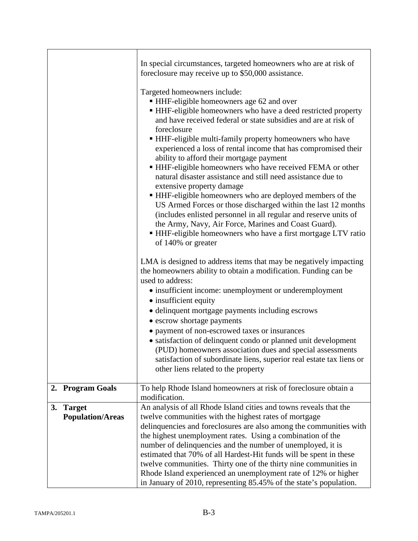|                                                | In special circumstances, targeted homeowners who are at risk of<br>foreclosure may receive up to \$50,000 assistance.                                                                                                                                                                                                                                                                                                                                                                                                                                                                                                                                                                                                                                                                                                                                                                                            |
|------------------------------------------------|-------------------------------------------------------------------------------------------------------------------------------------------------------------------------------------------------------------------------------------------------------------------------------------------------------------------------------------------------------------------------------------------------------------------------------------------------------------------------------------------------------------------------------------------------------------------------------------------------------------------------------------------------------------------------------------------------------------------------------------------------------------------------------------------------------------------------------------------------------------------------------------------------------------------|
|                                                | Targeted homeowners include:<br>■ HHF-eligible homeowners age 62 and over<br>• HHF-eligible homeowners who have a deed restricted property<br>and have received federal or state subsidies and are at risk of<br>foreclosure<br>■ HHF-eligible multi-family property homeowners who have<br>experienced a loss of rental income that has compromised their<br>ability to afford their mortgage payment<br>• HHF-eligible homeowners who have received FEMA or other<br>natural disaster assistance and still need assistance due to<br>extensive property damage<br>• HHF-eligible homeowners who are deployed members of the<br>US Armed Forces or those discharged within the last 12 months<br>(includes enlisted personnel in all regular and reserve units of<br>the Army, Navy, Air Force, Marines and Coast Guard).<br>• HHF-eligible homeowners who have a first mortgage LTV ratio<br>of 140% or greater |
|                                                | LMA is designed to address items that may be negatively impacting<br>the homeowners ability to obtain a modification. Funding can be<br>used to address:<br>• insufficient income: unemployment or underemployment<br>• insufficient equity<br>• delinquent mortgage payments including escrows<br>• escrow shortage payments<br>• payment of non-escrowed taxes or insurances<br>• satisfaction of delinquent condo or planned unit development<br>(PUD) homeowners association dues and special assessments<br>satisfaction of subordinate liens, superior real estate tax liens or<br>other liens related to the property                                                                                                                                                                                                                                                                                      |
| <b>Program Goals</b><br>2.                     | To help Rhode Island homeowners at risk of foreclosure obtain a<br>modification.                                                                                                                                                                                                                                                                                                                                                                                                                                                                                                                                                                                                                                                                                                                                                                                                                                  |
| <b>Target</b><br>3.<br><b>Population/Areas</b> | An analysis of all Rhode Island cities and towns reveals that the<br>twelve communities with the highest rates of mortgage<br>delinquencies and foreclosures are also among the communities with<br>the highest unemployment rates. Using a combination of the<br>number of delinquencies and the number of unemployed, it is<br>estimated that 70% of all Hardest-Hit funds will be spent in these<br>twelve communities. Thirty one of the thirty nine communities in<br>Rhode Island experienced an unemployment rate of 12% or higher<br>in January of 2010, representing 85.45% of the state's population.                                                                                                                                                                                                                                                                                                   |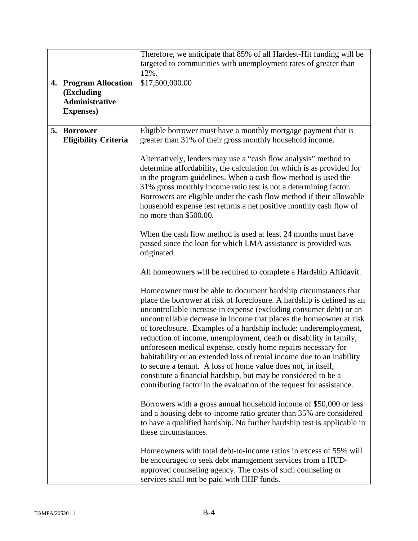|                                                                                   | Therefore, we anticipate that 85% of all Hardest-Hit funding will be                                                                                                                                                                                                                                                                                                                                                                                                                                                                                                                                                                                                                                                                                                                |
|-----------------------------------------------------------------------------------|-------------------------------------------------------------------------------------------------------------------------------------------------------------------------------------------------------------------------------------------------------------------------------------------------------------------------------------------------------------------------------------------------------------------------------------------------------------------------------------------------------------------------------------------------------------------------------------------------------------------------------------------------------------------------------------------------------------------------------------------------------------------------------------|
|                                                                                   | targeted to communities with unemployment rates of greater than<br>12%.                                                                                                                                                                                                                                                                                                                                                                                                                                                                                                                                                                                                                                                                                                             |
| 4. Program Allocation<br>(Excluding<br><b>Administrative</b><br><b>Expenses</b> ) | \$17,500,000.00                                                                                                                                                                                                                                                                                                                                                                                                                                                                                                                                                                                                                                                                                                                                                                     |
| 5. Borrower<br><b>Eligibility Criteria</b>                                        | Eligible borrower must have a monthly mortgage payment that is<br>greater than 31% of their gross monthly household income.                                                                                                                                                                                                                                                                                                                                                                                                                                                                                                                                                                                                                                                         |
|                                                                                   | Alternatively, lenders may use a "cash flow analysis" method to<br>determine affordability, the calculation for which is as provided for<br>in the program guidelines. When a cash flow method is used the<br>31% gross monthly income ratio test is not a determining factor.<br>Borrowers are eligible under the cash flow method if their allowable<br>household expense test returns a net positive monthly cash flow of<br>no more than \$500.00.                                                                                                                                                                                                                                                                                                                              |
|                                                                                   | When the cash flow method is used at least 24 months must have<br>passed since the loan for which LMA assistance is provided was<br>originated.                                                                                                                                                                                                                                                                                                                                                                                                                                                                                                                                                                                                                                     |
|                                                                                   | All homeowners will be required to complete a Hardship Affidavit.                                                                                                                                                                                                                                                                                                                                                                                                                                                                                                                                                                                                                                                                                                                   |
|                                                                                   | Homeowner must be able to document hardship circumstances that<br>place the borrower at risk of foreclosure. A hardship is defined as an<br>uncontrollable increase in expense (excluding consumer debt) or an<br>uncontrollable decrease in income that places the homeowner at risk<br>of foreclosure. Examples of a hardship include: underemployment,<br>reduction of income, unemployment, death or disability in family,<br>unforeseen medical expense, costly home repairs necessary for<br>habitability or an extended loss of rental income due to an inability<br>to secure a tenant. A loss of home value does not, in itself,<br>constitute a financial hardship, but may be considered to be a<br>contributing factor in the evaluation of the request for assistance. |
|                                                                                   | Borrowers with a gross annual household income of \$50,000 or less<br>and a housing debt-to-income ratio greater than 35% are considered<br>to have a qualified hardship. No further hardship test is applicable in<br>these circumstances.                                                                                                                                                                                                                                                                                                                                                                                                                                                                                                                                         |
|                                                                                   | Homeowners with total debt-to-income ratios in excess of 55% will<br>be encouraged to seek debt management services from a HUD-<br>approved counseling agency. The costs of such counseling or<br>services shall not be paid with HHF funds.                                                                                                                                                                                                                                                                                                                                                                                                                                                                                                                                        |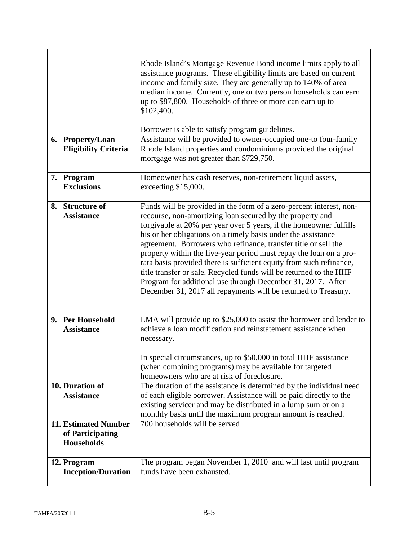| 6. Property/Loan<br><b>Eligibility Criteria</b>                      | Rhode Island's Mortgage Revenue Bond income limits apply to all<br>assistance programs. These eligibility limits are based on current<br>income and family size. They are generally up to 140% of area<br>median income. Currently, one or two person households can earn<br>up to \$87,800. Households of three or more can earn up to<br>\$102,400.<br>Borrower is able to satisfy program guidelines.<br>Assistance will be provided to owner-occupied one-to four-family<br>Rhode Island properties and condominiums provided the original<br>mortgage was not greater than \$729,750.                                                                                                    |
|----------------------------------------------------------------------|-----------------------------------------------------------------------------------------------------------------------------------------------------------------------------------------------------------------------------------------------------------------------------------------------------------------------------------------------------------------------------------------------------------------------------------------------------------------------------------------------------------------------------------------------------------------------------------------------------------------------------------------------------------------------------------------------|
| 7. Program<br><b>Exclusions</b>                                      | Homeowner has cash reserves, non-retirement liquid assets,<br>exceeding \$15,000.                                                                                                                                                                                                                                                                                                                                                                                                                                                                                                                                                                                                             |
| 8. Structure of<br><b>Assistance</b>                                 | Funds will be provided in the form of a zero-percent interest, non-<br>recourse, non-amortizing loan secured by the property and<br>forgivable at 20% per year over 5 years, if the homeowner fulfills<br>his or her obligations on a timely basis under the assistance<br>agreement. Borrowers who refinance, transfer title or sell the<br>property within the five-year period must repay the loan on a pro-<br>rata basis provided there is sufficient equity from such refinance,<br>title transfer or sale. Recycled funds will be returned to the HHF<br>Program for additional use through December 31, 2017. After<br>December 31, 2017 all repayments will be returned to Treasury. |
| 9. Per Household<br><b>Assistance</b>                                | LMA will provide up to \$25,000 to assist the borrower and lender to<br>achieve a loan modification and reinstatement assistance when                                                                                                                                                                                                                                                                                                                                                                                                                                                                                                                                                         |
|                                                                      | necessary.                                                                                                                                                                                                                                                                                                                                                                                                                                                                                                                                                                                                                                                                                    |
|                                                                      | In special circumstances, up to \$50,000 in total HHF assistance<br>(when combining programs) may be available for targeted<br>homeowners who are at risk of foreclosure.                                                                                                                                                                                                                                                                                                                                                                                                                                                                                                                     |
| 10. Duration of<br><b>Assistance</b>                                 | The duration of the assistance is determined by the individual need<br>of each eligible borrower. Assistance will be paid directly to the<br>existing servicer and may be distributed in a lump sum or on a<br>monthly basis until the maximum program amount is reached.                                                                                                                                                                                                                                                                                                                                                                                                                     |
| <b>11. Estimated Number</b><br>of Participating<br><b>Households</b> | 700 households will be served                                                                                                                                                                                                                                                                                                                                                                                                                                                                                                                                                                                                                                                                 |
| 12. Program<br><b>Inception/Duration</b>                             | The program began November 1, 2010 and will last until program<br>funds have been exhausted.                                                                                                                                                                                                                                                                                                                                                                                                                                                                                                                                                                                                  |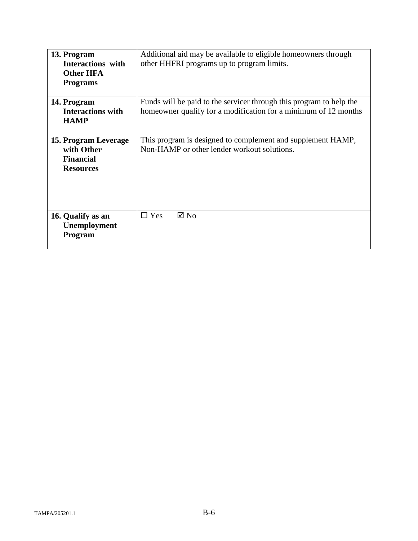| 13. Program<br><b>Interactions</b> with<br><b>Other HFA</b><br><b>Programs</b> | Additional aid may be available to eligible homeowners through<br>other HHFRI programs up to program limits.                           |
|--------------------------------------------------------------------------------|----------------------------------------------------------------------------------------------------------------------------------------|
| 14. Program<br><b>Interactions with</b><br><b>HAMP</b>                         | Funds will be paid to the servicer through this program to help the<br>homeowner qualify for a modification for a minimum of 12 months |
| 15. Program Leverage<br>with Other<br><b>Financial</b><br><b>Resources</b>     | This program is designed to complement and supplement HAMP,<br>Non-HAMP or other lender workout solutions.                             |
| 16. Qualify as an<br>Unemployment<br>Program                                   | $\boxtimes$ No<br>$\Box$ Yes                                                                                                           |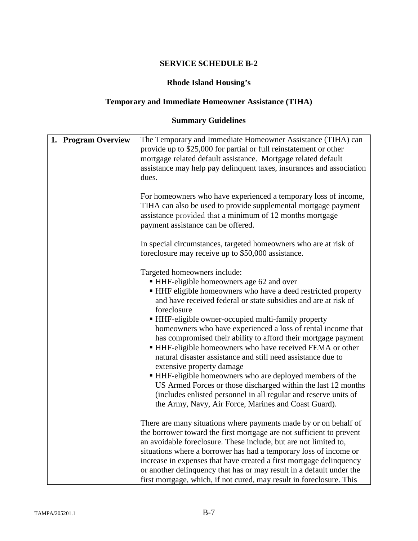# **Rhode Island Housing's**

# **Temporary and Immediate Homeowner Assistance (TIHA)**

| 1. Program Overview | The Temporary and Immediate Homeowner Assistance (TIHA) can<br>provide up to \$25,000 for partial or full reinstatement or other<br>mortgage related default assistance. Mortgage related default<br>assistance may help pay delinquent taxes, insurances and association<br>dues.                                                                                                                                                                                                                                                                                                                                                                                                                                                                                                                                                      |
|---------------------|-----------------------------------------------------------------------------------------------------------------------------------------------------------------------------------------------------------------------------------------------------------------------------------------------------------------------------------------------------------------------------------------------------------------------------------------------------------------------------------------------------------------------------------------------------------------------------------------------------------------------------------------------------------------------------------------------------------------------------------------------------------------------------------------------------------------------------------------|
|                     | For homeowners who have experienced a temporary loss of income,<br>TIHA can also be used to provide supplemental mortgage payment<br>assistance provided that a minimum of 12 months mortgage<br>payment assistance can be offered.                                                                                                                                                                                                                                                                                                                                                                                                                                                                                                                                                                                                     |
|                     | In special circumstances, targeted homeowners who are at risk of<br>foreclosure may receive up to \$50,000 assistance.                                                                                                                                                                                                                                                                                                                                                                                                                                                                                                                                                                                                                                                                                                                  |
|                     | Targeted homeowners include:<br>HHF-eligible homeowners age 62 and over<br>• HHF eligible homeowners who have a deed restricted property<br>and have received federal or state subsidies and are at risk of<br>foreclosure<br>• HHF-eligible owner-occupied multi-family property<br>homeowners who have experienced a loss of rental income that<br>has compromised their ability to afford their mortgage payment<br>• HHF-eligible homeowners who have received FEMA or other<br>natural disaster assistance and still need assistance due to<br>extensive property damage<br>• HHF-eligible homeowners who are deployed members of the<br>US Armed Forces or those discharged within the last 12 months<br>(includes enlisted personnel in all regular and reserve units of<br>the Army, Navy, Air Force, Marines and Coast Guard). |
|                     | There are many situations where payments made by or on behalf of<br>the borrower toward the first mortgage are not sufficient to prevent<br>an avoidable foreclosure. These include, but are not limited to,<br>situations where a borrower has had a temporary loss of income or<br>increase in expenses that have created a first mortgage delinquency<br>or another delinquency that has or may result in a default under the<br>first mortgage, which, if not cured, may result in foreclosure. This                                                                                                                                                                                                                                                                                                                                |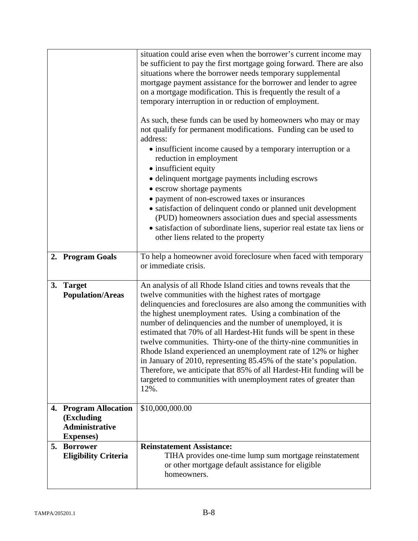|    |                                                              | situation could arise even when the borrower's current income may<br>be sufficient to pay the first mortgage going forward. There are also<br>situations where the borrower needs temporary supplemental<br>mortgage payment assistance for the borrower and lender to agree<br>on a mortgage modification. This is frequently the result of a<br>temporary interruption in or reduction of employment.<br>As such, these funds can be used by homeowners who may or may<br>not qualify for permanent modifications. Funding can be used to<br>address:<br>• insufficient income caused by a temporary interruption or a<br>reduction in employment<br>• insufficient equity<br>• delinquent mortgage payments including escrows<br>• escrow shortage payments<br>• payment of non-escrowed taxes or insurances<br>• satisfaction of delinquent condo or planned unit development<br>(PUD) homeowners association dues and special assessments<br>• satisfaction of subordinate liens, superior real estate tax liens or<br>other liens related to the property |
|----|--------------------------------------------------------------|-----------------------------------------------------------------------------------------------------------------------------------------------------------------------------------------------------------------------------------------------------------------------------------------------------------------------------------------------------------------------------------------------------------------------------------------------------------------------------------------------------------------------------------------------------------------------------------------------------------------------------------------------------------------------------------------------------------------------------------------------------------------------------------------------------------------------------------------------------------------------------------------------------------------------------------------------------------------------------------------------------------------------------------------------------------------|
|    | 2. Program Goals                                             | To help a homeowner avoid foreclosure when faced with temporary<br>or immediate crisis.                                                                                                                                                                                                                                                                                                                                                                                                                                                                                                                                                                                                                                                                                                                                                                                                                                                                                                                                                                         |
| 3. | <b>Target</b><br><b>Population/Areas</b>                     | An analysis of all Rhode Island cities and towns reveals that the<br>twelve communities with the highest rates of mortgage<br>delinquencies and foreclosures are also among the communities with<br>the highest unemployment rates. Using a combination of the<br>number of delinquencies and the number of unemployed, it is<br>estimated that 70% of all Hardest-Hit funds will be spent in these<br>twelve communities. Thirty-one of the thirty-nine communities in<br>Rhode Island experienced an unemployment rate of 12% or higher<br>in January of 2010, representing 85.45% of the state's population.<br>Therefore, we anticipate that 85% of all Hardest-Hit funding will be<br>targeted to communities with unemployment rates of greater than<br>12%.                                                                                                                                                                                                                                                                                              |
|    | 4. Program Allocation<br>(Excluding<br><b>Administrative</b> | \$10,000,000.00                                                                                                                                                                                                                                                                                                                                                                                                                                                                                                                                                                                                                                                                                                                                                                                                                                                                                                                                                                                                                                                 |
|    | <b>Expenses</b> )                                            |                                                                                                                                                                                                                                                                                                                                                                                                                                                                                                                                                                                                                                                                                                                                                                                                                                                                                                                                                                                                                                                                 |
|    | 5. Borrower<br><b>Eligibility Criteria</b>                   | <b>Reinstatement Assistance:</b><br>TIHA provides one-time lump sum mortgage reinstatement<br>or other mortgage default assistance for eligible<br>homeowners.                                                                                                                                                                                                                                                                                                                                                                                                                                                                                                                                                                                                                                                                                                                                                                                                                                                                                                  |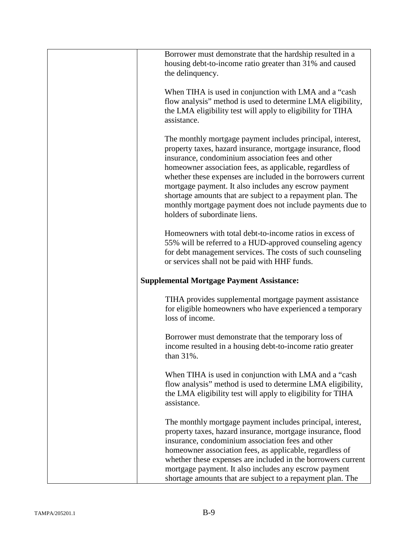| Borrower must demonstrate that the hardship resulted in a<br>housing debt-to-income ratio greater than 31% and caused<br>the delinquency.                                                                                                                                                                                                                                                                                                                                                                                       |
|---------------------------------------------------------------------------------------------------------------------------------------------------------------------------------------------------------------------------------------------------------------------------------------------------------------------------------------------------------------------------------------------------------------------------------------------------------------------------------------------------------------------------------|
| When TIHA is used in conjunction with LMA and a "cash"<br>flow analysis" method is used to determine LMA eligibility,<br>the LMA eligibility test will apply to eligibility for TIHA<br>assistance.                                                                                                                                                                                                                                                                                                                             |
| The monthly mortgage payment includes principal, interest,<br>property taxes, hazard insurance, mortgage insurance, flood<br>insurance, condominium association fees and other<br>homeowner association fees, as applicable, regardless of<br>whether these expenses are included in the borrowers current<br>mortgage payment. It also includes any escrow payment<br>shortage amounts that are subject to a repayment plan. The<br>monthly mortgage payment does not include payments due to<br>holders of subordinate liens. |
| Homeowners with total debt-to-income ratios in excess of<br>55% will be referred to a HUD-approved counseling agency<br>for debt management services. The costs of such counseling<br>or services shall not be paid with HHF funds.                                                                                                                                                                                                                                                                                             |
| <b>Supplemental Mortgage Payment Assistance:</b>                                                                                                                                                                                                                                                                                                                                                                                                                                                                                |
| TIHA provides supplemental mortgage payment assistance<br>for eligible homeowners who have experienced a temporary<br>loss of income.                                                                                                                                                                                                                                                                                                                                                                                           |
| Borrower must demonstrate that the temporary loss of<br>income resulted in a housing debt-to-income ratio greater<br>than 31%.                                                                                                                                                                                                                                                                                                                                                                                                  |
| When TIHA is used in conjunction with LMA and a "cash"<br>flow analysis" method is used to determine LMA eligibility,<br>the LMA eligibility test will apply to eligibility for TIHA<br>assistance.                                                                                                                                                                                                                                                                                                                             |
| The monthly mortgage payment includes principal, interest,<br>property taxes, hazard insurance, mortgage insurance, flood<br>insurance, condominium association fees and other<br>homeowner association fees, as applicable, regardless of<br>whether these expenses are included in the borrowers current<br>mortgage payment. It also includes any escrow payment<br>shortage amounts that are subject to a repayment plan. The                                                                                               |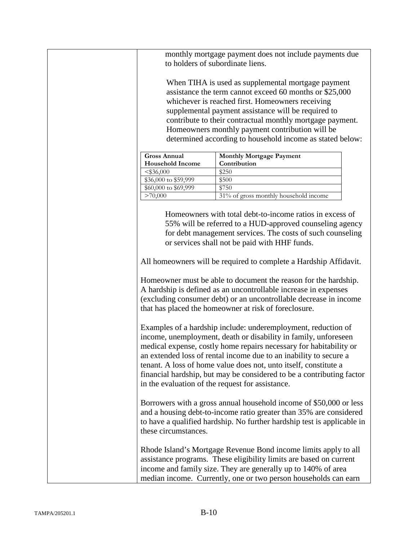monthly mortgage payment does not include payments due to holders of subordinate liens.

When TIHA is used as supplemental mortgage payment assistance the term cannot exceed 60 months or \$25,000 whichever is reached first. Homeowners receiving supplemental payment assistance will be required to contribute to their contractual monthly mortgage payment. Homeowners monthly payment contribution will be determined according to household income as stated below:

| <b>Gross Annual</b>     | <b>Monthly Mortgage Payment</b>       |
|-------------------------|---------------------------------------|
| <b>Household Income</b> | Contribution                          |
| $<$ \$36,000            | \$250                                 |
| \$36,000 to \$59,999    | \$500                                 |
| \$60,000 to \$69,999    | \$750                                 |
| >70,000                 | 31% of gross monthly household income |

Homeowners with total debt-to-income ratios in excess of 55% will be referred to a HUD-approved counseling agency for debt management services. The costs of such counseling or services shall not be paid with HHF funds.

All homeowners will be required to complete a Hardship Affidavit.

Homeowner must be able to document the reason for the hardship. A hardship is defined as an uncontrollable increase in expenses (excluding consumer debt) or an uncontrollable decrease in income that has placed the homeowner at risk of foreclosure.

Examples of a hardship include: underemployment, reduction of income, unemployment, death or disability in family, unforeseen medical expense, costly home repairs necessary for habitability or an extended loss of rental income due to an inability to secure a tenant. A loss of home value does not, unto itself, constitute a financial hardship, but may be considered to be a contributing factor in the evaluation of the request for assistance.

Borrowers with a gross annual household income of \$50,000 or less and a housing debt-to-income ratio greater than 35% are considered to have a qualified hardship. No further hardship test is applicable in these circumstances.

Rhode Island's Mortgage Revenue Bond income limits apply to all assistance programs. These eligibility limits are based on current income and family size. They are generally up to 140% of area median income. Currently, one or two person households can earn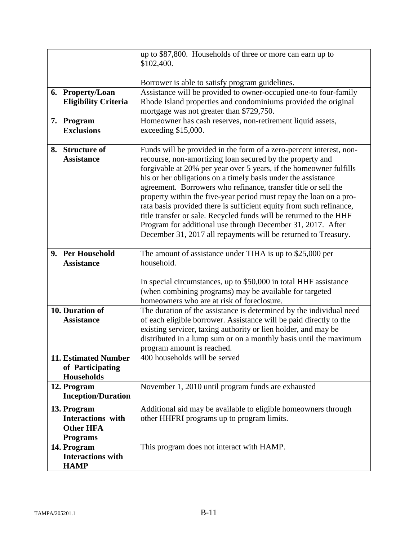|                                                                                | up to \$87,800. Households of three or more can earn up to                                                                                                                                                                                                                                                                                                                                                                                                                                                                                                                                                                                                                                    |
|--------------------------------------------------------------------------------|-----------------------------------------------------------------------------------------------------------------------------------------------------------------------------------------------------------------------------------------------------------------------------------------------------------------------------------------------------------------------------------------------------------------------------------------------------------------------------------------------------------------------------------------------------------------------------------------------------------------------------------------------------------------------------------------------|
|                                                                                | \$102,400.                                                                                                                                                                                                                                                                                                                                                                                                                                                                                                                                                                                                                                                                                    |
|                                                                                | Borrower is able to satisfy program guidelines.                                                                                                                                                                                                                                                                                                                                                                                                                                                                                                                                                                                                                                               |
| 6. Property/Loan<br><b>Eligibility Criteria</b>                                | Assistance will be provided to owner-occupied one-to four-family<br>Rhode Island properties and condominiums provided the original<br>mortgage was not greater than \$729,750.                                                                                                                                                                                                                                                                                                                                                                                                                                                                                                                |
| 7. Program<br><b>Exclusions</b>                                                | Homeowner has cash reserves, non-retirement liquid assets,<br>exceeding \$15,000.                                                                                                                                                                                                                                                                                                                                                                                                                                                                                                                                                                                                             |
| <b>Structure of</b><br>8.<br><b>Assistance</b>                                 | Funds will be provided in the form of a zero-percent interest, non-<br>recourse, non-amortizing loan secured by the property and<br>forgivable at 20% per year over 5 years, if the homeowner fulfills<br>his or her obligations on a timely basis under the assistance<br>agreement. Borrowers who refinance, transfer title or sell the<br>property within the five-year period must repay the loan on a pro-<br>rata basis provided there is sufficient equity from such refinance,<br>title transfer or sale. Recycled funds will be returned to the HHF<br>Program for additional use through December 31, 2017. After<br>December 31, 2017 all repayments will be returned to Treasury. |
| 9. Per Household<br><b>Assistance</b>                                          | The amount of assistance under TIHA is up to \$25,000 per<br>household.                                                                                                                                                                                                                                                                                                                                                                                                                                                                                                                                                                                                                       |
|                                                                                | In special circumstances, up to \$50,000 in total HHF assistance<br>(when combining programs) may be available for targeted<br>homeowners who are at risk of foreclosure.                                                                                                                                                                                                                                                                                                                                                                                                                                                                                                                     |
| 10. Duration of                                                                | The duration of the assistance is determined by the individual need                                                                                                                                                                                                                                                                                                                                                                                                                                                                                                                                                                                                                           |
| <b>Assistance</b>                                                              | of each eligible borrower. Assistance will be paid directly to the<br>existing servicer, taxing authority or lien holder, and may be<br>distributed in a lump sum or on a monthly basis until the maximum<br>program amount is reached.                                                                                                                                                                                                                                                                                                                                                                                                                                                       |
| <b>11. Estimated Number</b><br>of Participating<br>Households                  | 400 households will be served                                                                                                                                                                                                                                                                                                                                                                                                                                                                                                                                                                                                                                                                 |
| 12. Program<br><b>Inception/Duration</b>                                       | November 1, 2010 until program funds are exhausted                                                                                                                                                                                                                                                                                                                                                                                                                                                                                                                                                                                                                                            |
| 13. Program<br><b>Interactions</b> with<br><b>Other HFA</b><br><b>Programs</b> | Additional aid may be available to eligible homeowners through<br>other HHFRI programs up to program limits.                                                                                                                                                                                                                                                                                                                                                                                                                                                                                                                                                                                  |
| 14. Program<br><b>Interactions with</b><br><b>HAMP</b>                         | This program does not interact with HAMP.                                                                                                                                                                                                                                                                                                                                                                                                                                                                                                                                                                                                                                                     |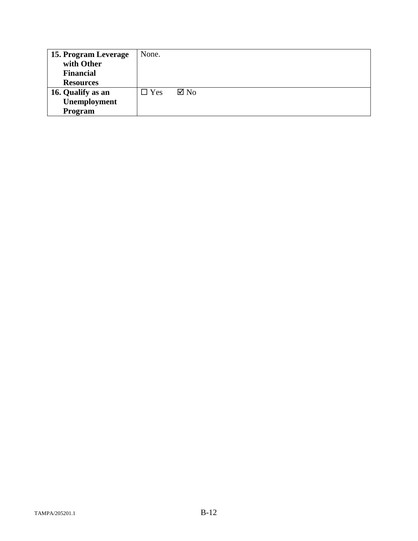| 15. Program Leverage | None.      |                |
|----------------------|------------|----------------|
| with Other           |            |                |
| <b>Financial</b>     |            |                |
| <b>Resources</b>     |            |                |
| 16. Qualify as an    | $\Box$ Yes | $\boxtimes$ No |
| Unemployment         |            |                |
| Program              |            |                |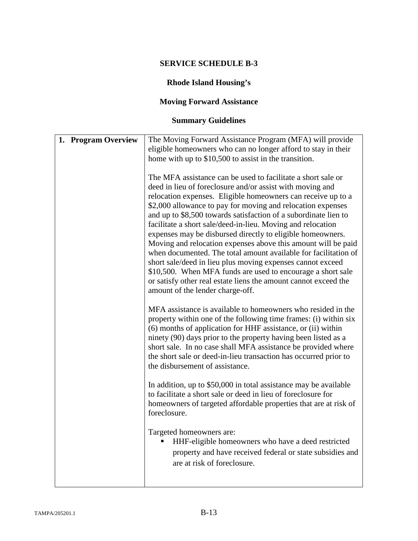# **Rhode Island Housing's**

# **Moving Forward Assistance**

| 1. Program Overview | The Moving Forward Assistance Program (MFA) will provide                                                                                                                                                                                                                                                                                                                                                                                                                                                                                                                                                                                                                                                                                                                                                                                                                                                                                                                                                                                                                                                                                                                                                                                                                                                                                                                                                                                                                                                                                                                                                                                               |
|---------------------|--------------------------------------------------------------------------------------------------------------------------------------------------------------------------------------------------------------------------------------------------------------------------------------------------------------------------------------------------------------------------------------------------------------------------------------------------------------------------------------------------------------------------------------------------------------------------------------------------------------------------------------------------------------------------------------------------------------------------------------------------------------------------------------------------------------------------------------------------------------------------------------------------------------------------------------------------------------------------------------------------------------------------------------------------------------------------------------------------------------------------------------------------------------------------------------------------------------------------------------------------------------------------------------------------------------------------------------------------------------------------------------------------------------------------------------------------------------------------------------------------------------------------------------------------------------------------------------------------------------------------------------------------------|
|                     | eligible homeowners who can no longer afford to stay in their                                                                                                                                                                                                                                                                                                                                                                                                                                                                                                                                                                                                                                                                                                                                                                                                                                                                                                                                                                                                                                                                                                                                                                                                                                                                                                                                                                                                                                                                                                                                                                                          |
|                     | home with up to \$10,500 to assist in the transition.                                                                                                                                                                                                                                                                                                                                                                                                                                                                                                                                                                                                                                                                                                                                                                                                                                                                                                                                                                                                                                                                                                                                                                                                                                                                                                                                                                                                                                                                                                                                                                                                  |
|                     | The MFA assistance can be used to facilitate a short sale or<br>deed in lieu of foreclosure and/or assist with moving and<br>relocation expenses. Eligible homeowners can receive up to a<br>\$2,000 allowance to pay for moving and relocation expenses<br>and up to \$8,500 towards satisfaction of a subordinate lien to<br>facilitate a short sale/deed-in-lieu. Moving and relocation<br>expenses may be disbursed directly to eligible homeowners.<br>Moving and relocation expenses above this amount will be paid<br>when documented. The total amount available for facilitation of<br>short sale/deed in lieu plus moving expenses cannot exceed<br>\$10,500. When MFA funds are used to encourage a short sale<br>or satisfy other real estate liens the amount cannot exceed the<br>amount of the lender charge-off.<br>MFA assistance is available to homeowners who resided in the<br>property within one of the following time frames: (i) within six<br>(6) months of application for HHF assistance, or (ii) within<br>ninety (90) days prior to the property having been listed as a<br>short sale. In no case shall MFA assistance be provided where<br>the short sale or deed-in-lieu transaction has occurred prior to<br>the disbursement of assistance.<br>In addition, up to \$50,000 in total assistance may be available<br>to facilitate a short sale or deed in lieu of foreclosure for<br>homeowners of targeted affordable properties that are at risk of<br>foreclosure.<br>Targeted homeowners are:<br>HHF-eligible homeowners who have a deed restricted<br>property and have received federal or state subsidies and |
|                     | are at risk of foreclosure.                                                                                                                                                                                                                                                                                                                                                                                                                                                                                                                                                                                                                                                                                                                                                                                                                                                                                                                                                                                                                                                                                                                                                                                                                                                                                                                                                                                                                                                                                                                                                                                                                            |
|                     |                                                                                                                                                                                                                                                                                                                                                                                                                                                                                                                                                                                                                                                                                                                                                                                                                                                                                                                                                                                                                                                                                                                                                                                                                                                                                                                                                                                                                                                                                                                                                                                                                                                        |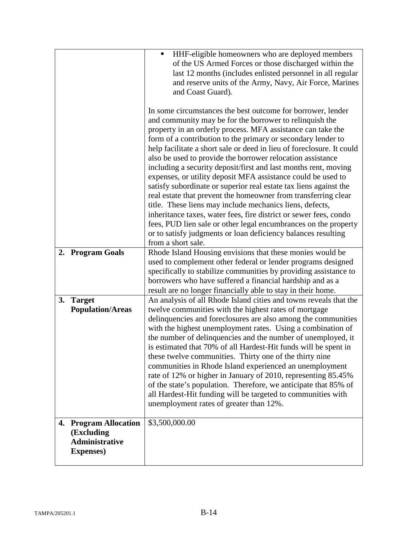|                                                                                   | HHF-eligible homeowners who are deployed members<br>٠<br>of the US Armed Forces or those discharged within the                                                                                                                                                                                                                                                                                                                                                                                                                                                                                                                                                                                                                                                                                                                                                             |
|-----------------------------------------------------------------------------------|----------------------------------------------------------------------------------------------------------------------------------------------------------------------------------------------------------------------------------------------------------------------------------------------------------------------------------------------------------------------------------------------------------------------------------------------------------------------------------------------------------------------------------------------------------------------------------------------------------------------------------------------------------------------------------------------------------------------------------------------------------------------------------------------------------------------------------------------------------------------------|
|                                                                                   | last 12 months (includes enlisted personnel in all regular<br>and reserve units of the Army, Navy, Air Force, Marines<br>and Coast Guard).                                                                                                                                                                                                                                                                                                                                                                                                                                                                                                                                                                                                                                                                                                                                 |
|                                                                                   |                                                                                                                                                                                                                                                                                                                                                                                                                                                                                                                                                                                                                                                                                                                                                                                                                                                                            |
|                                                                                   | In some circumstances the best outcome for borrower, lender<br>and community may be for the borrower to relinquish the<br>property in an orderly process. MFA assistance can take the<br>form of a contribution to the primary or secondary lender to<br>help facilitate a short sale or deed in lieu of foreclosure. It could<br>also be used to provide the borrower relocation assistance<br>including a security deposit/first and last months rent, moving<br>expenses, or utility deposit MFA assistance could be used to<br>satisfy subordinate or superior real estate tax liens against the<br>real estate that prevent the homeowner from transferring clear<br>title. These liens may include mechanics liens, defects,<br>inheritance taxes, water fees, fire district or sewer fees, condo<br>fees, PUD lien sale or other legal encumbrances on the property |
|                                                                                   | or to satisfy judgments or loan deficiency balances resulting<br>from a short sale.                                                                                                                                                                                                                                                                                                                                                                                                                                                                                                                                                                                                                                                                                                                                                                                        |
| 2. Program Goals                                                                  | Rhode Island Housing envisions that these monies would be<br>used to complement other federal or lender programs designed<br>specifically to stabilize communities by providing assistance to<br>borrowers who have suffered a financial hardship and as a<br>result are no longer financially able to stay in their home.                                                                                                                                                                                                                                                                                                                                                                                                                                                                                                                                                 |
| 3. Target<br><b>Population/Areas</b>                                              | An analysis of all Rhode Island cities and towns reveals that the<br>twelve communities with the highest rates of mortgage<br>delinquencies and foreclosures are also among the communities<br>with the highest unemployment rates. Using a combination of<br>the number of delinquencies and the number of unemployed, it<br>is estimated that 70% of all Hardest-Hit funds will be spent in<br>these twelve communities. Thirty one of the thirty nine<br>communities in Rhode Island experienced an unemployment<br>rate of 12% or higher in January of 2010, representing 85.45%<br>of the state's population. Therefore, we anticipate that 85% of<br>all Hardest-Hit funding will be targeted to communities with<br>unemployment rates of greater than 12%.                                                                                                         |
| 4. Program Allocation<br>(Excluding<br><b>Administrative</b><br><b>Expenses</b> ) | \$3,500,000.00                                                                                                                                                                                                                                                                                                                                                                                                                                                                                                                                                                                                                                                                                                                                                                                                                                                             |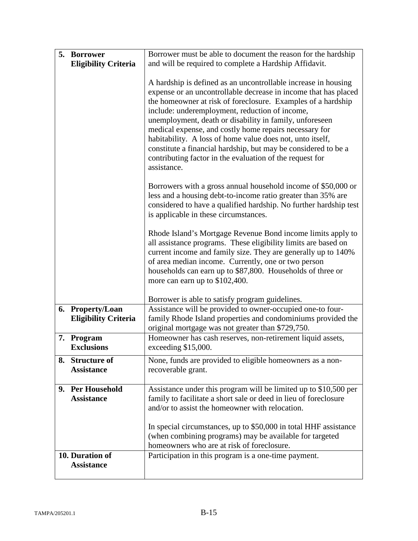| 5.<br><b>Borrower</b><br><b>Eligibility Criteria</b> | Borrower must be able to document the reason for the hardship<br>and will be required to complete a Hardship Affidavit.                                                                                                                                                                                                                                                                                                                                                                                                                                                            |
|------------------------------------------------------|------------------------------------------------------------------------------------------------------------------------------------------------------------------------------------------------------------------------------------------------------------------------------------------------------------------------------------------------------------------------------------------------------------------------------------------------------------------------------------------------------------------------------------------------------------------------------------|
|                                                      | A hardship is defined as an uncontrollable increase in housing<br>expense or an uncontrollable decrease in income that has placed<br>the homeowner at risk of foreclosure. Examples of a hardship<br>include: underemployment, reduction of income,<br>unemployment, death or disability in family, unforeseen<br>medical expense, and costly home repairs necessary for<br>habitability. A loss of home value does not, unto itself,<br>constitute a financial hardship, but may be considered to be a<br>contributing factor in the evaluation of the request for<br>assistance. |
|                                                      | Borrowers with a gross annual household income of \$50,000 or<br>less and a housing debt-to-income ratio greater than 35% are<br>considered to have a qualified hardship. No further hardship test<br>is applicable in these circumstances.                                                                                                                                                                                                                                                                                                                                        |
|                                                      | Rhode Island's Mortgage Revenue Bond income limits apply to<br>all assistance programs. These eligibility limits are based on<br>current income and family size. They are generally up to 140%<br>of area median income. Currently, one or two person<br>households can earn up to \$87,800. Households of three or<br>more can earn up to \$102,400.                                                                                                                                                                                                                              |
|                                                      | Borrower is able to satisfy program guidelines.                                                                                                                                                                                                                                                                                                                                                                                                                                                                                                                                    |
| 6. Property/Loan<br><b>Eligibility Criteria</b>      | Assistance will be provided to owner-occupied one-to four-<br>family Rhode Island properties and condominiums provided the<br>original mortgage was not greater than \$729,750.                                                                                                                                                                                                                                                                                                                                                                                                    |
| Program<br>7.<br><b>Exclusions</b>                   | Homeowner has cash reserves, non-retirement liquid assets,<br>exceeding \$15,000.                                                                                                                                                                                                                                                                                                                                                                                                                                                                                                  |
| 8. Structure of<br><b>Assistance</b>                 | None, funds are provided to eligible homeowners as a non-<br>recoverable grant.                                                                                                                                                                                                                                                                                                                                                                                                                                                                                                    |
| 9. Per Household<br><b>Assistance</b>                | Assistance under this program will be limited up to \$10,500 per<br>family to facilitate a short sale or deed in lieu of foreclosure<br>and/or to assist the homeowner with relocation.<br>In special circumstances, up to \$50,000 in total HHF assistance                                                                                                                                                                                                                                                                                                                        |
|                                                      | (when combining programs) may be available for targeted<br>homeowners who are at risk of foreclosure.                                                                                                                                                                                                                                                                                                                                                                                                                                                                              |
| 10. Duration of<br><b>Assistance</b>                 | Participation in this program is a one-time payment.                                                                                                                                                                                                                                                                                                                                                                                                                                                                                                                               |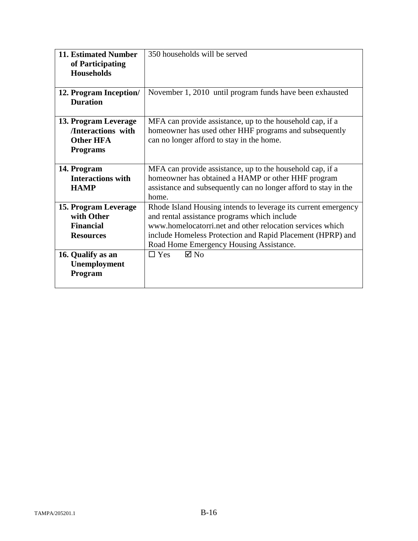| <b>11. Estimated Number</b><br>of Participating<br><b>Households</b>                            | 350 households will be served                                                                                                                                                                                                                                                                                        |
|-------------------------------------------------------------------------------------------------|----------------------------------------------------------------------------------------------------------------------------------------------------------------------------------------------------------------------------------------------------------------------------------------------------------------------|
| 12. Program Inception/<br><b>Duration</b>                                                       | November 1, 2010 until program funds have been exhausted                                                                                                                                                                                                                                                             |
| 13. Program Leverage<br>/Interactions with<br><b>Other HFA</b><br><b>Programs</b>               | MFA can provide assistance, up to the household cap, if a<br>homeowner has used other HHF programs and subsequently<br>can no longer afford to stay in the home.                                                                                                                                                     |
| 14. Program<br><b>Interactions with</b><br><b>HAMP</b>                                          | MFA can provide assistance, up to the household cap, if a<br>homeowner has obtained a HAMP or other HHF program<br>assistance and subsequently can no longer afford to stay in the<br>home.                                                                                                                          |
| 15. Program Leverage<br>with Other<br><b>Financial</b><br><b>Resources</b><br>16. Qualify as an | Rhode Island Housing intends to leverage its current emergency<br>and rental assistance programs which include<br>www.homelocatorri.net and other relocation services which<br>include Homeless Protection and Rapid Placement (HPRP) and<br>Road Home Emergency Housing Assistance.<br>$\boxtimes$ No<br>$\Box$ Yes |
| Unemployment<br>Program                                                                         |                                                                                                                                                                                                                                                                                                                      |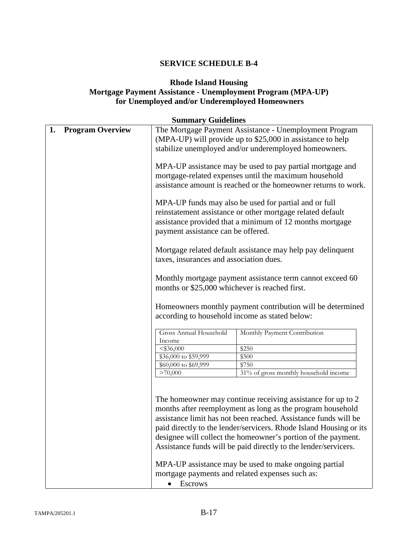### **Rhode Island Housing Mortgage Payment Assistance - Unemployment Program (MPA-UP) for Unemployed and/or Underemployed Homeowners**

| 1. | <b>Program Overview</b> |                                              | The Mortgage Payment Assistance - Unemployment Program<br>(MPA-UP) will provide up to \$25,000 in assistance to help<br>stabilize unemployed and/or underemployed homeowners.                                                                                                                                                                                                                                                                                                                                      |
|----|-------------------------|----------------------------------------------|--------------------------------------------------------------------------------------------------------------------------------------------------------------------------------------------------------------------------------------------------------------------------------------------------------------------------------------------------------------------------------------------------------------------------------------------------------------------------------------------------------------------|
|    |                         |                                              | MPA-UP assistance may be used to pay partial mortgage and<br>mortgage-related expenses until the maximum household<br>assistance amount is reached or the homeowner returns to work.                                                                                                                                                                                                                                                                                                                               |
|    |                         | payment assistance can be offered.           | MPA-UP funds may also be used for partial and or full<br>reinstatement assistance or other mortgage related default<br>assistance provided that a minimum of 12 months mortgage                                                                                                                                                                                                                                                                                                                                    |
|    |                         | taxes, insurances and association dues.      | Mortgage related default assistance may help pay delinquent                                                                                                                                                                                                                                                                                                                                                                                                                                                        |
|    |                         |                                              | Monthly mortgage payment assistance term cannot exceed 60<br>months or \$25,000 whichever is reached first.                                                                                                                                                                                                                                                                                                                                                                                                        |
|    |                         |                                              |                                                                                                                                                                                                                                                                                                                                                                                                                                                                                                                    |
|    |                         |                                              | Homeowners monthly payment contribution will be determined<br>according to household income as stated below:                                                                                                                                                                                                                                                                                                                                                                                                       |
|    |                         | Gross Annual Household<br>Income             | Monthly Payment Contribution                                                                                                                                                                                                                                                                                                                                                                                                                                                                                       |
|    |                         |                                              | \$250                                                                                                                                                                                                                                                                                                                                                                                                                                                                                                              |
|    |                         | $<$ \$36,000                                 |                                                                                                                                                                                                                                                                                                                                                                                                                                                                                                                    |
|    |                         | \$36,000 to \$59,999<br>\$60,000 to \$69,999 | \$500<br>\$750                                                                                                                                                                                                                                                                                                                                                                                                                                                                                                     |
|    |                         | >70,000                                      | 31% of gross monthly household income                                                                                                                                                                                                                                                                                                                                                                                                                                                                              |
|    |                         |                                              | The homeowner may continue receiving assistance for up to 2<br>months after reemployment as long as the program household<br>assistance limit has not been reached. Assistance funds will be<br>paid directly to the lender/servicers. Rhode Island Housing or its<br>designee will collect the homeowner's portion of the payment.<br>Assistance funds will be paid directly to the lender/servicers.<br>MPA-UP assistance may be used to make ongoing partial<br>mortgage payments and related expenses such as: |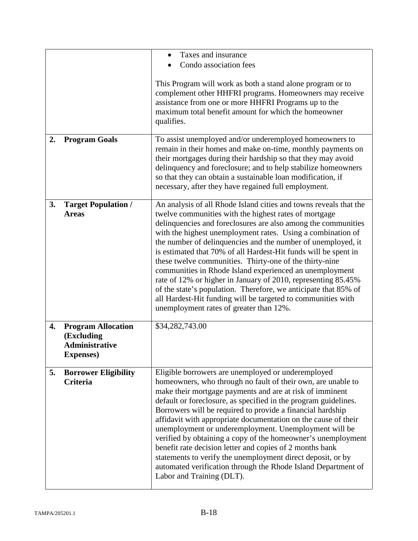|    |                                                                                       | Taxes and insurance<br>Condo association fees                                                                                                                                                                                                                                                                                                                                                                                                                                                                                                                                                                                                                                                                                                                      |
|----|---------------------------------------------------------------------------------------|--------------------------------------------------------------------------------------------------------------------------------------------------------------------------------------------------------------------------------------------------------------------------------------------------------------------------------------------------------------------------------------------------------------------------------------------------------------------------------------------------------------------------------------------------------------------------------------------------------------------------------------------------------------------------------------------------------------------------------------------------------------------|
|    |                                                                                       | This Program will work as both a stand alone program or to<br>complement other HHFRI programs. Homeowners may receive<br>assistance from one or more HHFRI Programs up to the<br>maximum total benefit amount for which the homeowner<br>qualifies.                                                                                                                                                                                                                                                                                                                                                                                                                                                                                                                |
| 2. | <b>Program Goals</b>                                                                  | To assist unemployed and/or underemployed homeowners to<br>remain in their homes and make on-time, monthly payments on<br>their mortgages during their hardship so that they may avoid<br>delinquency and foreclosure; and to help stabilize homeowners<br>so that they can obtain a sustainable loan modification, if<br>necessary, after they have regained full employment.                                                                                                                                                                                                                                                                                                                                                                                     |
| 3. | <b>Target Population /</b><br><b>Areas</b>                                            | An analysis of all Rhode Island cities and towns reveals that the<br>twelve communities with the highest rates of mortgage<br>delinquencies and foreclosures are also among the communities<br>with the highest unemployment rates. Using a combination of<br>the number of delinquencies and the number of unemployed, it<br>is estimated that 70% of all Hardest-Hit funds will be spent in<br>these twelve communities. Thirty-one of the thirty-nine<br>communities in Rhode Island experienced an unemployment<br>rate of 12% or higher in January of 2010, representing 85.45%<br>of the state's population. Therefore, we anticipate that 85% of<br>all Hardest-Hit funding will be targeted to communities with<br>unemployment rates of greater than 12%. |
| 4. | <b>Program Allocation</b><br>(Excluding<br><b>Administrative</b><br><b>Expenses</b> ) | \$34,282,743.00                                                                                                                                                                                                                                                                                                                                                                                                                                                                                                                                                                                                                                                                                                                                                    |
| 5. | <b>Borrower Eligibility</b><br><b>Criteria</b>                                        | Eligible borrowers are unemployed or underemployed<br>homeowners, who through no fault of their own, are unable to<br>make their mortgage payments and are at risk of imminent<br>default or foreclosure, as specified in the program guidelines.<br>Borrowers will be required to provide a financial hardship<br>affidavit with appropriate documentation on the cause of their<br>unemployment or underemployment. Unemployment will be<br>verified by obtaining a copy of the homeowner's unemployment<br>benefit rate decision letter and copies of 2 months bank<br>statements to verify the unemployment direct deposit, or by<br>automated verification through the Rhode Island Department of<br>Labor and Training (DLT).                                |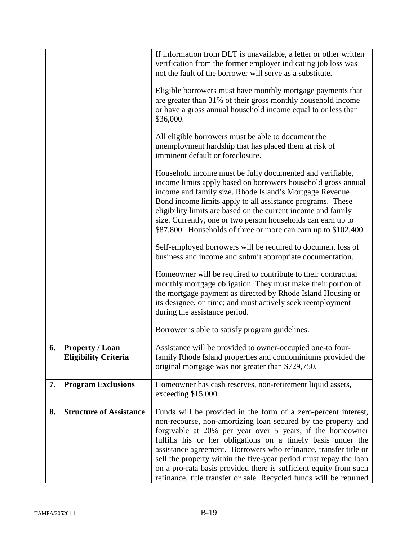|    |                                                       | If information from DLT is unavailable, a letter or other written<br>verification from the former employer indicating job loss was<br>not the fault of the borrower will serve as a substitute.                                                                                                                                                                                                                                                                                                                                                 |
|----|-------------------------------------------------------|-------------------------------------------------------------------------------------------------------------------------------------------------------------------------------------------------------------------------------------------------------------------------------------------------------------------------------------------------------------------------------------------------------------------------------------------------------------------------------------------------------------------------------------------------|
|    |                                                       | Eligible borrowers must have monthly mortgage payments that<br>are greater than 31% of their gross monthly household income<br>or have a gross annual household income equal to or less than<br>\$36,000.                                                                                                                                                                                                                                                                                                                                       |
|    |                                                       | All eligible borrowers must be able to document the<br>unemployment hardship that has placed them at risk of<br>imminent default or foreclosure.                                                                                                                                                                                                                                                                                                                                                                                                |
|    |                                                       | Household income must be fully documented and verifiable,<br>income limits apply based on borrowers household gross annual<br>income and family size. Rhode Island's Mortgage Revenue<br>Bond income limits apply to all assistance programs. These<br>eligibility limits are based on the current income and family<br>size. Currently, one or two person households can earn up to<br>\$87,800. Households of three or more can earn up to \$102,400.                                                                                         |
|    |                                                       | Self-employed borrowers will be required to document loss of<br>business and income and submit appropriate documentation.                                                                                                                                                                                                                                                                                                                                                                                                                       |
|    |                                                       | Homeowner will be required to contribute to their contractual<br>monthly mortgage obligation. They must make their portion of<br>the mortgage payment as directed by Rhode Island Housing or<br>its designee, on time; and must actively seek reemployment<br>during the assistance period.                                                                                                                                                                                                                                                     |
|    |                                                       | Borrower is able to satisfy program guidelines.                                                                                                                                                                                                                                                                                                                                                                                                                                                                                                 |
| 6. | <b>Property / Loan</b><br><b>Eligibility Criteria</b> | Assistance will be provided to owner-occupied one-to four-<br>family Rhode Island properties and condominiums provided the<br>original mortgage was not greater than \$729,750.                                                                                                                                                                                                                                                                                                                                                                 |
| 7. | <b>Program Exclusions</b>                             | Homeowner has cash reserves, non-retirement liquid assets,<br>exceeding $$15,000$ .                                                                                                                                                                                                                                                                                                                                                                                                                                                             |
| 8. | <b>Structure of Assistance</b>                        | Funds will be provided in the form of a zero-percent interest,<br>non-recourse, non-amortizing loan secured by the property and<br>forgivable at 20% per year over 5 years, if the homeowner<br>fulfills his or her obligations on a timely basis under the<br>assistance agreement. Borrowers who refinance, transfer title or<br>sell the property within the five-year period must repay the loan<br>on a pro-rata basis provided there is sufficient equity from such<br>refinance, title transfer or sale. Recycled funds will be returned |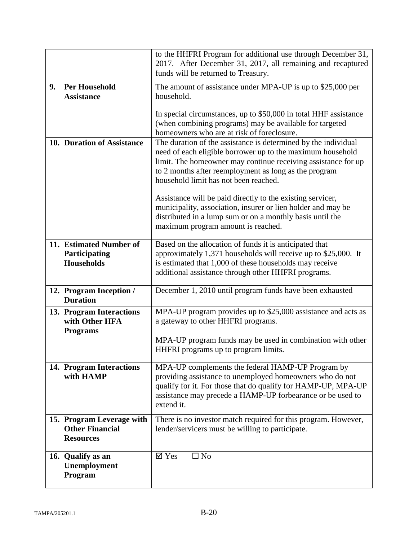|    |                                                                         | to the HHFRI Program for additional use through December 31,<br>2017. After December 31, 2017, all remaining and recaptured<br>funds will be returned to Treasury.                                                                                                                              |
|----|-------------------------------------------------------------------------|-------------------------------------------------------------------------------------------------------------------------------------------------------------------------------------------------------------------------------------------------------------------------------------------------|
| 9. | <b>Per Household</b><br><b>Assistance</b>                               | The amount of assistance under MPA-UP is up to $$25,000$ per<br>household.                                                                                                                                                                                                                      |
|    |                                                                         | In special circumstances, up to \$50,000 in total HHF assistance<br>(when combining programs) may be available for targeted<br>homeowners who are at risk of foreclosure.                                                                                                                       |
|    | 10. Duration of Assistance                                              | The duration of the assistance is determined by the individual<br>need of each eligible borrower up to the maximum household<br>limit. The homeowner may continue receiving assistance for up<br>to 2 months after reemployment as long as the program<br>household limit has not been reached. |
|    |                                                                         | Assistance will be paid directly to the existing servicer,<br>municipality, association, insurer or lien holder and may be<br>distributed in a lump sum or on a monthly basis until the<br>maximum program amount is reached.                                                                   |
|    | 11. Estimated Number of<br>Participating<br><b>Households</b>           | Based on the allocation of funds it is anticipated that<br>approximately 1,371 households will receive up to \$25,000. It<br>is estimated that 1,000 of these households may receive<br>additional assistance through other HHFRI programs.                                                     |
|    | 12. Program Inception /<br><b>Duration</b>                              | December 1, 2010 until program funds have been exhausted                                                                                                                                                                                                                                        |
|    | 13. Program Interactions<br>with Other HFA<br><b>Programs</b>           | MPA-UP program provides up to \$25,000 assistance and acts as<br>a gateway to other HHFRI programs.<br>MPA-UP program funds may be used in combination with other<br>HHFRI programs up to program limits.                                                                                       |
|    | 14. Program Interactions<br>with HAMP                                   | MPA-UP complements the federal HAMP-UP Program by<br>providing assistance to unemployed homeowners who do not<br>qualify for it. For those that do qualify for HAMP-UP, MPA-UP<br>assistance may precede a HAMP-UP forbearance or be used to<br>extend it.                                      |
|    | 15. Program Leverage with<br><b>Other Financial</b><br><b>Resources</b> | There is no investor match required for this program. However,<br>lender/servicers must be willing to participate.                                                                                                                                                                              |
|    | 16. Qualify as an<br>Unemployment<br>Program                            | $\overline{\mathsf{Y}}$ Yes<br>$\square$ No                                                                                                                                                                                                                                                     |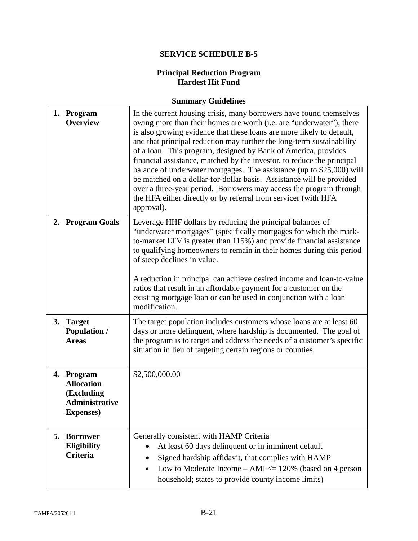### **Principal Reduction Program Hardest Hit Fund**

|    | 1. Program<br><b>Overview</b>                                                               | In the current housing crisis, many borrowers have found themselves<br>owing more than their homes are worth (i.e. are "underwater"); there<br>is also growing evidence that these loans are more likely to default,<br>and that principal reduction may further the long-term sustainability<br>of a loan. This program, designed by Bank of America, provides<br>financial assistance, matched by the investor, to reduce the principal<br>balance of underwater mortgages. The assistance (up to \$25,000) will<br>be matched on a dollar-for-dollar basis. Assistance will be provided<br>over a three-year period. Borrowers may access the program through<br>the HFA either directly or by referral from servicer (with HFA<br>approval). |
|----|---------------------------------------------------------------------------------------------|--------------------------------------------------------------------------------------------------------------------------------------------------------------------------------------------------------------------------------------------------------------------------------------------------------------------------------------------------------------------------------------------------------------------------------------------------------------------------------------------------------------------------------------------------------------------------------------------------------------------------------------------------------------------------------------------------------------------------------------------------|
|    | 2. Program Goals                                                                            | Leverage HHF dollars by reducing the principal balances of<br>"underwater mortgages" (specifically mortgages for which the mark-<br>to-market LTV is greater than 115%) and provide financial assistance<br>to qualifying homeowners to remain in their homes during this period<br>of steep declines in value.<br>A reduction in principal can achieve desired income and loan-to-value<br>ratios that result in an affordable payment for a customer on the<br>existing mortgage loan or can be used in conjunction with a loan<br>modification.                                                                                                                                                                                               |
|    | 3. Target<br><b>Population /</b><br><b>Areas</b>                                            | The target population includes customers whose loans are at least 60<br>days or more delinquent, where hardship is documented. The goal of<br>the program is to target and address the needs of a customer's specific<br>situation in lieu of targeting certain regions or counties.                                                                                                                                                                                                                                                                                                                                                                                                                                                             |
|    | 4. Program<br><b>Allocation</b><br>(Excluding<br><b>Administrative</b><br><b>Expenses</b> ) | \$2,500,000.00                                                                                                                                                                                                                                                                                                                                                                                                                                                                                                                                                                                                                                                                                                                                   |
| 5. | <b>Borrower</b><br><b>Eligibility</b><br><b>Criteria</b>                                    | Generally consistent with HAMP Criteria<br>At least 60 days delinquent or in imminent default<br>Signed hardship affidavit, that complies with HAMP<br>Low to Moderate Income $- AMI \leq 120\%$ (based on 4 person<br>household; states to provide county income limits)                                                                                                                                                                                                                                                                                                                                                                                                                                                                        |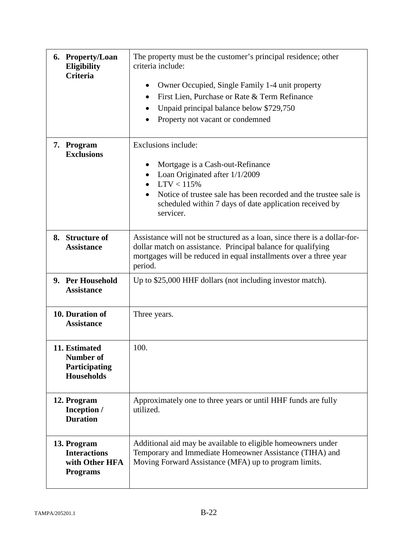| 6. Property/Loan<br><b>Eligibility</b><br><b>Criteria</b>               | The property must be the customer's principal residence; other<br>criteria include:<br>Owner Occupied, Single Family 1-4 unit property<br>٠<br>First Lien, Purchase or Rate & Term Refinance<br>$\bullet$<br>Unpaid principal balance below \$729,750<br>٠<br>Property not vacant or condemned |
|-------------------------------------------------------------------------|------------------------------------------------------------------------------------------------------------------------------------------------------------------------------------------------------------------------------------------------------------------------------------------------|
| 7. Program<br><b>Exclusions</b>                                         | Exclusions include:<br>Mortgage is a Cash-out-Refinance<br>Loan Originated after 1/1/2009<br>$\bullet$<br>LTV < 115%<br>Notice of trustee sale has been recorded and the trustee sale is<br>scheduled within 7 days of date application received by<br>servicer.                               |
| 8. Structure of<br><b>Assistance</b>                                    | Assistance will not be structured as a loan, since there is a dollar-for-<br>dollar match on assistance. Principal balance for qualifying<br>mortgages will be reduced in equal installments over a three year<br>period.                                                                      |
| 9. Per Household<br><b>Assistance</b>                                   | Up to \$25,000 HHF dollars (not including investor match).                                                                                                                                                                                                                                     |
| 10. Duration of<br><b>Assistance</b>                                    | Three years.                                                                                                                                                                                                                                                                                   |
| 11. Estimated<br><b>Number of</b><br>Participating<br><b>Households</b> | 100.                                                                                                                                                                                                                                                                                           |
| 12. Program<br>Inception /<br><b>Duration</b>                           | Approximately one to three years or until HHF funds are fully<br>utilized.                                                                                                                                                                                                                     |
| 13. Program<br><b>Interactions</b><br>with Other HFA<br><b>Programs</b> | Additional aid may be available to eligible homeowners under<br>Temporary and Immediate Homeowner Assistance (TIHA) and<br>Moving Forward Assistance (MFA) up to program limits.                                                                                                               |